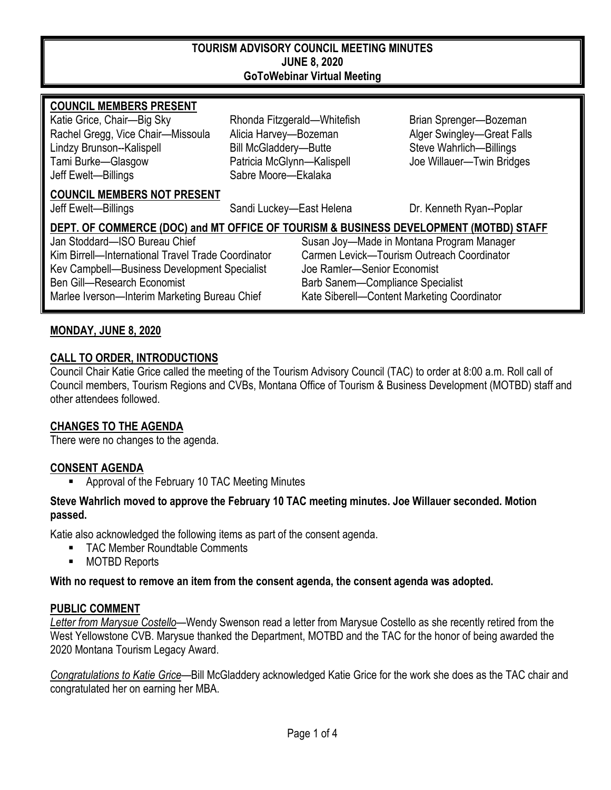#### **TOURISM ADVISORY COUNCIL MEETING MINUTES JUNE 8, 2020 GoToWebinar Virtual Meeting**

#### **COUNCIL MEMBERS PRESENT**

Katie Grice, Chair—Big Sky **Rhonda Fitzgerald—Whitefish** Brian Sprenger—Bozeman Rachel Gregg, Vice Chair—Missoula Alicia Harvey—Bozeman Alger Swingley—Great Falls Lindzy Brunson--Kalispell Bill McGladdery—Butte Steve Wahrlich—Billings Tami Burke—Glasgow Patricia McGlynn—Kalispell Joe Willauer—Twin Bridges Jeff Ewelt—Billings Sabre Moore—Ekalaka

#### **COUNCIL MEMBERS NOT PRESENT**

Jeff Ewelt—Billings Sandi Luckey—East Helena Dr. Kenneth Ryan--Poplar

# **DEPT. OF COMMERCE (DOC) and MT OFFICE OF TOURISM & BUSINESS DEVELOPMENT (MOTBD) STAFF** Jan Stoddard—ISO Bureau Chief Susan Joy—Made in Montana Program Manager Kim Birrell—International Travel Trade Coordinator Carmen Levick—Tourism Outreach Coordinator Kev Campbell—Business Development Specialist Joe Ramler—Senior Economist Ben Gill—Research Economist and Barb Sanem—Compliance Specialist Marlee Iverson—Interim Marketing Bureau Chief Kate Siberell—Content Marketing Coordinator

## **MONDAY, JUNE 8, 2020**

#### **CALL TO ORDER, INTRODUCTIONS**

Council Chair Katie Grice called the meeting of the Tourism Advisory Council (TAC) to order at 8:00 a.m. Roll call of Council members, Tourism Regions and CVBs, Montana Office of Tourism & Business Development (MOTBD) staff and other attendees followed.

#### **CHANGES TO THE AGENDA**

There were no changes to the agenda.

# **CONSENT AGENDA**

**EXECT** Approval of the February 10 TAC Meeting Minutes

#### **Steve Wahrlich moved to approve the February 10 TAC meeting minutes. Joe Willauer seconded. Motion passed.**

Katie also acknowledged the following items as part of the consent agenda.

- TAC Member Roundtable Comments
- **MOTBD Reports**

**With no request to remove an item from the consent agenda, the consent agenda was adopted.**

#### **PUBLIC COMMENT**

*Letter from Marysue Costello*—Wendy Swenson read a letter from Marysue Costello as she recently retired from the West Yellowstone CVB. Marysue thanked the Department, MOTBD and the TAC for the honor of being awarded the 2020 Montana Tourism Legacy Award.

*Congratulations to Katie Grice*—Bill McGladdery acknowledged Katie Grice for the work she does as the TAC chair and congratulated her on earning her MBA.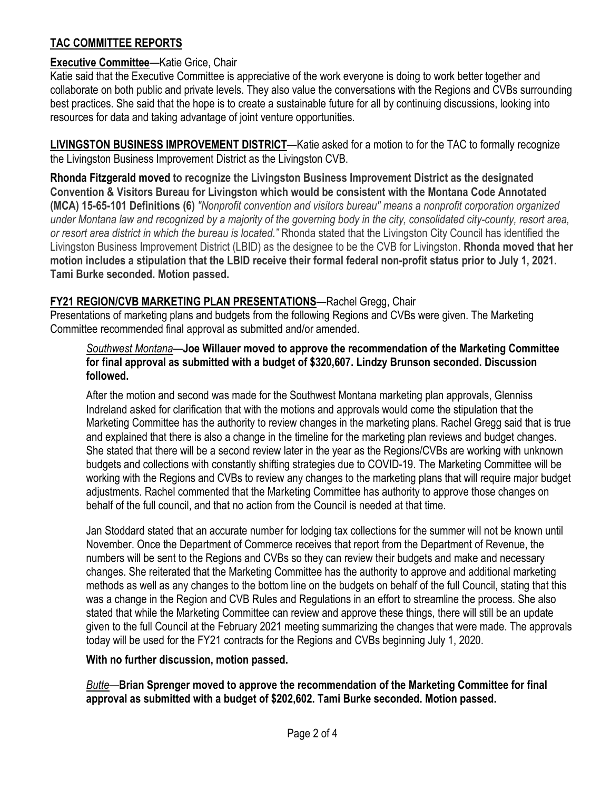# **TAC COMMITTEE REPORTS**

# **Executive Committee**—Katie Grice, Chair

Katie said that the Executive Committee is appreciative of the work everyone is doing to work better together and collaborate on both public and private levels. They also value the conversations with the Regions and CVBs surrounding best practices. She said that the hope is to create a sustainable future for all by continuing discussions, looking into resources for data and taking advantage of joint venture opportunities.

**LIVINGSTON BUSINESS IMPROVEMENT DISTRICT**—Katie asked for a motion to for the TAC to formally recognize the Livingston Business Improvement District as the Livingston CVB.

**Rhonda Fitzgerald moved to recognize the Livingston Business Improvement District as the designated Convention & Visitors Bureau for Livingston which would be consistent with the Montana Code Annotated (MCA) 15-65-101 Definitions (6)** *"Nonprofit convention and visitors bureau" means a nonprofit corporation organized under Montana law and recognized by a majority of the governing body in the city, consolidated city-county, resort area, or resort area district in which the bureau is located."* Rhonda stated that the Livingston City Council has identified the Livingston Business Improvement District (LBID) as the designee to be the CVB for Livingston. **Rhonda moved that her motion includes a stipulation that the LBID receive their formal federal non-profit status prior to July 1, 2021. Tami Burke seconded. Motion passed.** 

## **FY21 REGION/CVB MARKETING PLAN PRESENTATIONS**—Rachel Gregg, Chair

Presentations of marketing plans and budgets from the following Regions and CVBs were given. The Marketing Committee recommended final approval as submitted and/or amended.

#### *Southwest Montana*—**Joe Willauer moved to approve the recommendation of the Marketing Committee for final approval as submitted with a budget of \$320,607. Lindzy Brunson seconded. Discussion followed.**

After the motion and second was made for the Southwest Montana marketing plan approvals, Glenniss Indreland asked for clarification that with the motions and approvals would come the stipulation that the Marketing Committee has the authority to review changes in the marketing plans. Rachel Gregg said that is true and explained that there is also a change in the timeline for the marketing plan reviews and budget changes. She stated that there will be a second review later in the year as the Regions/CVBs are working with unknown budgets and collections with constantly shifting strategies due to COVID-19. The Marketing Committee will be working with the Regions and CVBs to review any changes to the marketing plans that will require major budget adjustments. Rachel commented that the Marketing Committee has authority to approve those changes on behalf of the full council, and that no action from the Council is needed at that time.

Jan Stoddard stated that an accurate number for lodging tax collections for the summer will not be known until November. Once the Department of Commerce receives that report from the Department of Revenue, the numbers will be sent to the Regions and CVBs so they can review their budgets and make and necessary changes. She reiterated that the Marketing Committee has the authority to approve and additional marketing methods as well as any changes to the bottom line on the budgets on behalf of the full Council, stating that this was a change in the Region and CVB Rules and Regulations in an effort to streamline the process. She also stated that while the Marketing Committee can review and approve these things, there will still be an update given to the full Council at the February 2021 meeting summarizing the changes that were made. The approvals today will be used for the FY21 contracts for the Regions and CVBs beginning July 1, 2020.

## **With no further discussion, motion passed.**

*Butte*—**Brian Sprenger moved to approve the recommendation of the Marketing Committee for final approval as submitted with a budget of \$202,602. Tami Burke seconded. Motion passed.**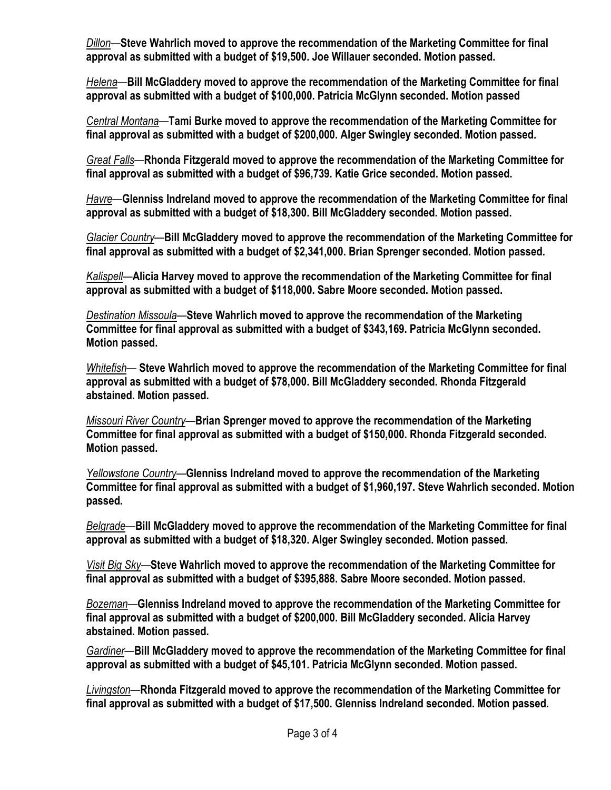*Dillon*—**Steve Wahrlich moved to approve the recommendation of the Marketing Committee for final approval as submitted with a budget of \$19,500. Joe Willauer seconded. Motion passed.** 

*Helena*—**Bill McGladdery moved to approve the recommendation of the Marketing Committee for final approval as submitted with a budget of \$100,000. Patricia McGlynn seconded. Motion passed**

*Central Montana*—**Tami Burke moved to approve the recommendation of the Marketing Committee for final approval as submitted with a budget of \$200,000. Alger Swingley seconded. Motion passed.**

*Great Falls*—**Rhonda Fitzgerald moved to approve the recommendation of the Marketing Committee for final approval as submitted with a budget of \$96,739. Katie Grice seconded. Motion passed.**

*Havre*—**Glenniss Indreland moved to approve the recommendation of the Marketing Committee for final approval as submitted with a budget of \$18,300. Bill McGladdery seconded. Motion passed.** 

*Glacier Country*—**Bill McGladdery moved to approve the recommendation of the Marketing Committee for final approval as submitted with a budget of \$2,341,000. Brian Sprenger seconded. Motion passed.** 

*Kalispell*—**Alicia Harvey moved to approve the recommendation of the Marketing Committee for final approval as submitted with a budget of \$118,000. Sabre Moore seconded. Motion passed.** 

*Destination Missoula*—**Steve Wahrlich moved to approve the recommendation of the Marketing Committee for final approval as submitted with a budget of \$343,169. Patricia McGlynn seconded. Motion passed.**

*Whitefish*— **Steve Wahrlich moved to approve the recommendation of the Marketing Committee for final approval as submitted with a budget of \$78,000. Bill McGladdery seconded. Rhonda Fitzgerald abstained. Motion passed.** 

*Missouri River Country*—**Brian Sprenger moved to approve the recommendation of the Marketing Committee for final approval as submitted with a budget of \$150,000. Rhonda Fitzgerald seconded. Motion passed.** 

*Yellowstone Country*—**Glenniss Indreland moved to approve the recommendation of the Marketing Committee for final approval as submitted with a budget of \$1,960,197. Steve Wahrlich seconded. Motion passed.** 

*Belgrade*—**Bill McGladdery moved to approve the recommendation of the Marketing Committee for final approval as submitted with a budget of \$18,320. Alger Swingley seconded. Motion passed.** 

*Visit Big Sky*—**Steve Wahrlich moved to approve the recommendation of the Marketing Committee for final approval as submitted with a budget of \$395,888. Sabre Moore seconded. Motion passed.**

*Bozeman*—**Glenniss Indreland moved to approve the recommendation of the Marketing Committee for final approval as submitted with a budget of \$200,000. Bill McGladdery seconded. Alicia Harvey abstained. Motion passed.** 

*Gardiner*—**Bill McGladdery moved to approve the recommendation of the Marketing Committee for final approval as submitted with a budget of \$45,101. Patricia McGlynn seconded. Motion passed.** 

*Livingston*—**Rhonda Fitzgerald moved to approve the recommendation of the Marketing Committee for final approval as submitted with a budget of \$17,500. Glenniss Indreland seconded. Motion passed.**